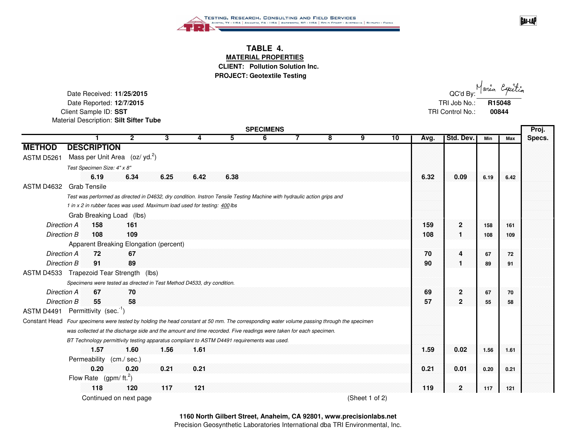

## **TABLE 4. MATERIAL PROPERTIES CLIENT: Pollution Solution Inc.**

**PROJECT: Geotextile Testing**

Date Received: **11/25/2015**Date Reported: **12/7/2015** Client Sample ID: SST Material Description: **Silt Sifter Tube**

| - | QC'd By: Maria Expertia    |       |
|---|----------------------------|-------|
|   | TRI Job No.: <b>R15048</b> |       |
|   | TRI Control No.:           | 00844 |

**GAI-LAP** 

|                    | <b>SPECIMENS</b>                                                                                                                            |      |      |      |      |   |  |   |   |    |      |                         |      |      | Proj.  |  |
|--------------------|---------------------------------------------------------------------------------------------------------------------------------------------|------|------|------|------|---|--|---|---|----|------|-------------------------|------|------|--------|--|
|                    |                                                                                                                                             |      | 3    | 4    | 5.   | 6 |  | 8 | 9 | 10 | Avg. | <b>Std. Dev.</b>        | Min  | Max  | Specs. |  |
| <b>METHOD</b>      | <b>DESCRIPTION</b>                                                                                                                          |      |      |      |      |   |  |   |   |    |      |                         |      |      |        |  |
| ASTM D5261         | Mass per Unit Area $(oz/yd.2)$                                                                                                              |      |      |      |      |   |  |   |   |    |      |                         |      |      |        |  |
|                    | Test Specimen Size: 4" x 8"                                                                                                                 |      |      |      |      |   |  |   |   |    |      |                         |      |      |        |  |
|                    | 6.19                                                                                                                                        | 6.34 | 6.25 | 6.42 | 6.38 |   |  |   |   |    | 6.32 | 0.09                    | 6.19 | 6.42 |        |  |
|                    | ASTM D4632 Grab Tensile                                                                                                                     |      |      |      |      |   |  |   |   |    |      |                         |      |      |        |  |
|                    | Test was performed as directed in D4632, dry condition. Instron Tensile Testing Machine with hydraulic action grips and                     |      |      |      |      |   |  |   |   |    |      |                         |      |      |        |  |
|                    | 1 in x 2 in rubber faces was used. Maximum load used for testing: 400 lbs                                                                   |      |      |      |      |   |  |   |   |    |      |                         |      |      |        |  |
|                    | Grab Breaking Load (lbs)                                                                                                                    |      |      |      |      |   |  |   |   |    |      |                         |      |      |        |  |
| Direction A        | 158                                                                                                                                         | 161  |      |      |      |   |  |   |   |    | 159  | $\overline{2}$          | 158  | 161  |        |  |
| Direction B        | 108                                                                                                                                         | 109  |      |      |      |   |  |   |   |    | 108  | 11                      | 108  | 109  |        |  |
|                    | Apparent Breaking Elongation (percent)                                                                                                      |      |      |      |      |   |  |   |   |    |      |                         |      |      |        |  |
| Direction A        | 72                                                                                                                                          | 67   |      |      |      |   |  |   |   |    | 70   | 4                       | 67   | 72   |        |  |
| Direction B        | 91                                                                                                                                          | 89   |      |      |      |   |  |   |   |    | 90   | 1                       | 89   | 91   |        |  |
|                    | ASTM D4533 Trapezoid Tear Strength (lbs)                                                                                                    |      |      |      |      |   |  |   |   |    |      |                         |      |      |        |  |
|                    | Specimens were tested as directed in Test Method D4533, dry condition.                                                                      |      |      |      |      |   |  |   |   |    |      |                         |      |      |        |  |
| <b>Direction A</b> | 67                                                                                                                                          | 70   |      |      |      |   |  |   |   |    | 69   | $\overline{\mathbf{2}}$ | 67   | 70   |        |  |
| Direction B        | 55                                                                                                                                          | 58   |      |      |      |   |  |   |   |    | 57   | $\mathbf{2}$            | 55   | 58   |        |  |
|                    | ASTM D4491 Permittivity (sec. <sup>-1</sup> )                                                                                               |      |      |      |      |   |  |   |   |    |      |                         |      |      |        |  |
|                    | Constant Head Four specimens were tested by holding the head constant at 50 mm. The corresponding water volume passing through the specimen |      |      |      |      |   |  |   |   |    |      |                         |      |      |        |  |
|                    | was collected at the discharge side and the amount and time recorded. Five readings were taken for each specimen.                           |      |      |      |      |   |  |   |   |    |      |                         |      |      |        |  |
|                    | BT Technology permittivity testing apparatus compliant to ASTM D4491 requirements was used.                                                 |      |      |      |      |   |  |   |   |    |      |                         |      |      |        |  |
|                    | 1.57                                                                                                                                        | 1.60 | 1.56 | 1.61 |      |   |  |   |   |    | 1.59 | 0.02                    | 1.56 | 1.61 |        |  |
|                    | Permeability (cm./ sec.)                                                                                                                    |      |      |      |      |   |  |   |   |    |      |                         |      |      |        |  |
|                    | 0.20                                                                                                                                        | 0.20 | 0.21 | 0.21 |      |   |  |   |   |    | 0.21 | 0.01                    | 0.20 | 0.21 |        |  |
|                    | Flow Rate $(gpm/ft.^2)$                                                                                                                     |      |      |      |      |   |  |   |   |    |      |                         |      |      |        |  |
|                    | 118                                                                                                                                         | 120  | 117  | 121  |      |   |  |   |   |    | 119  | $\mathbf{2}$            | 117  | 121  |        |  |

Continued on next page  $(Sheet 1 of 2)$ 

**1160 North Gilbert Street, Anaheim, CA 92801, www.precisionlabs.net**

Precision Geosynthetic Laboratories International dba TRI Environmental, Inc.